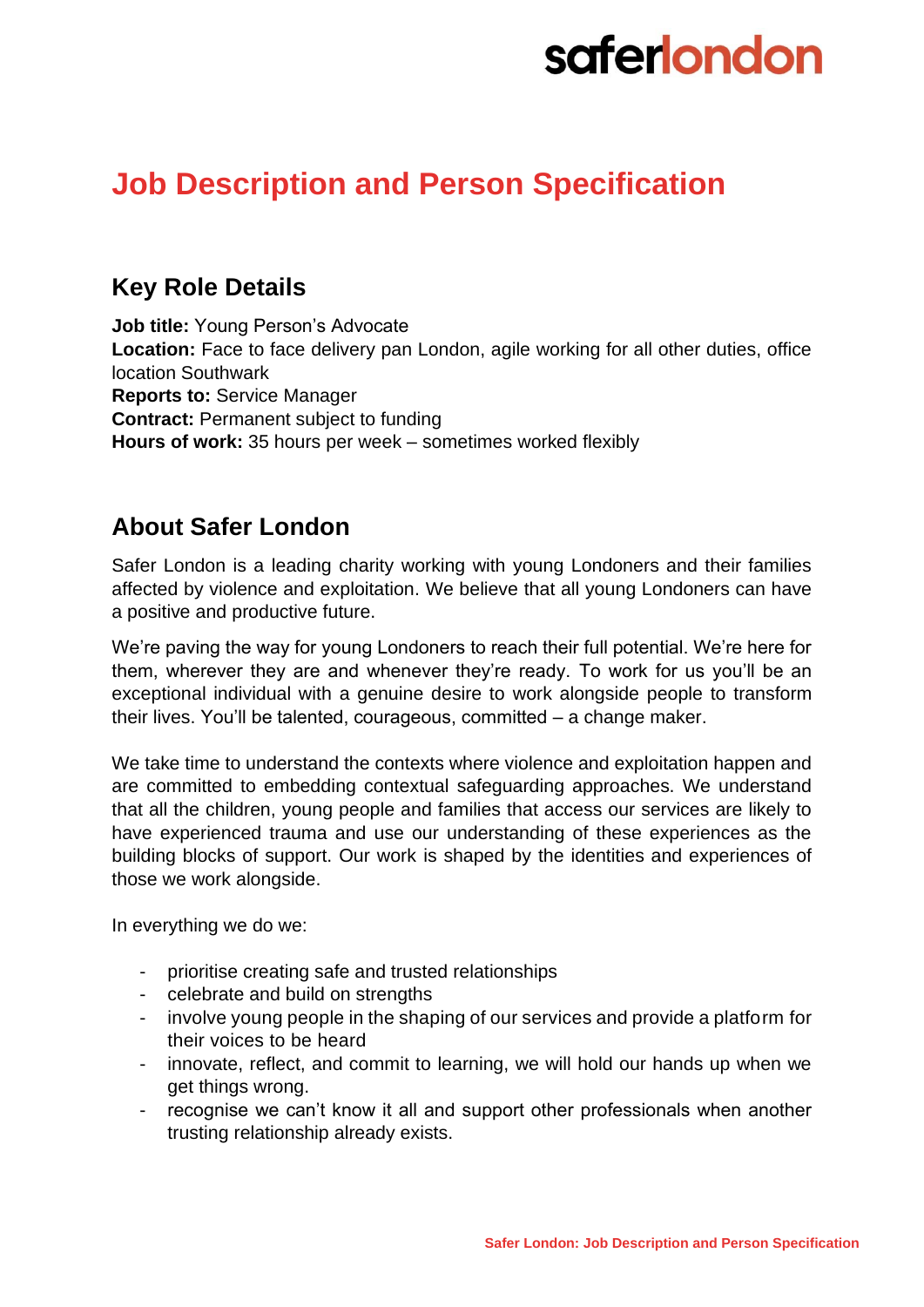# saferlondon

### **Job Description and Person Specification**

### **Key Role Details**

**Job title:** Young Person's Advocate **Location:** Face to face delivery pan London, agile working for all other duties, office location Southwark **Reports to:** Service Manager **Contract:** Permanent subject to funding **Hours of work:** 35 hours per week – sometimes worked flexibly

### **About Safer London**

Safer London is a leading charity working with young Londoners and their families affected by violence and exploitation. We believe that all young Londoners can have a positive and productive future.

We're paving the way for young Londoners to reach their full potential. We're here for them, wherever they are and whenever they're ready. To work for us you'll be an exceptional individual with a genuine desire to work alongside people to transform their lives. You'll be talented, courageous, committed – a change maker.

We take time to understand the contexts where violence and exploitation happen and are committed to embedding contextual safeguarding approaches. We understand that all the children, young people and families that access our services are likely to have experienced trauma and use our understanding of these experiences as the building blocks of support. Our work is shaped by the identities and experiences of those we work alongside.

In everything we do we:

- prioritise creating safe and trusted relationships
- celebrate and build on strengths
- involve young people in the shaping of our services and provide a platform for their voices to be heard
- innovate, reflect, and commit to learning, we will hold our hands up when we get things wrong.
- recognise we can't know it all and support other professionals when another trusting relationship already exists.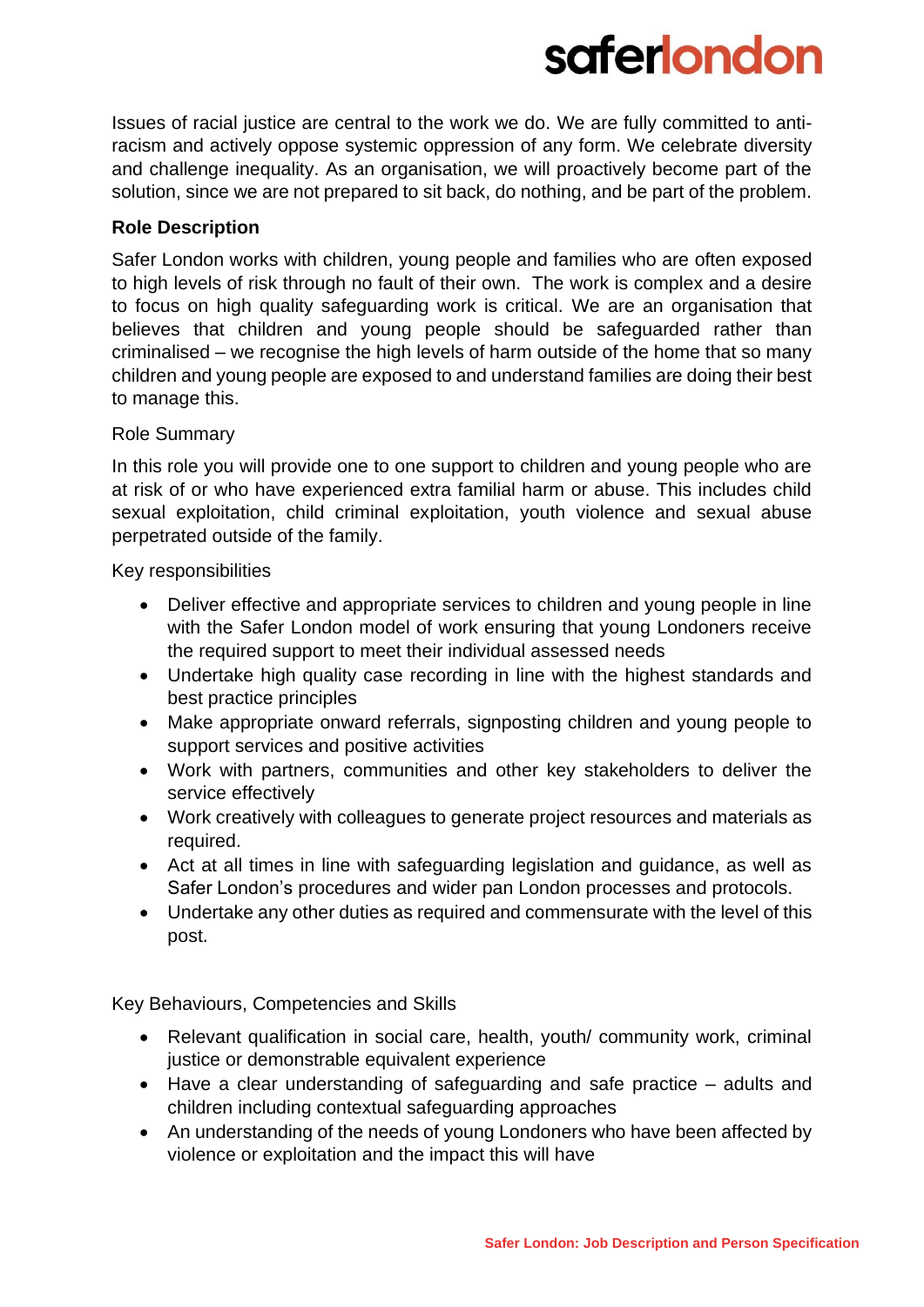# **saferlondon**

Issues of racial justice are central to the work we do. We are fully committed to antiracism and actively oppose systemic oppression of any form. We celebrate diversity and challenge inequality. As an organisation, we will proactively become part of the solution, since we are not prepared to sit back, do nothing, and be part of the problem.

#### **Role Description**

Safer London works with children, young people and families who are often exposed to high levels of risk through no fault of their own. The work is complex and a desire to focus on high quality safeguarding work is critical. We are an organisation that believes that children and young people should be safeguarded rather than criminalised – we recognise the high levels of harm outside of the home that so many children and young people are exposed to and understand families are doing their best to manage this.

#### Role Summary

In this role you will provide one to one support to children and young people who are at risk of or who have experienced extra familial harm or abuse. This includes child sexual exploitation, child criminal exploitation, youth violence and sexual abuse perpetrated outside of the family.

Key responsibilities

- Deliver effective and appropriate services to children and young people in line with the Safer London model of work ensuring that young Londoners receive the required support to meet their individual assessed needs
- Undertake high quality case recording in line with the highest standards and best practice principles
- Make appropriate onward referrals, signposting children and young people to support services and positive activities
- Work with partners, communities and other key stakeholders to deliver the service effectively
- Work creatively with colleagues to generate project resources and materials as required.
- Act at all times in line with safeguarding legislation and guidance, as well as Safer London's procedures and wider pan London processes and protocols.
- Undertake any other duties as required and commensurate with the level of this post.

Key Behaviours, Competencies and Skills

- Relevant qualification in social care, health, youth/ community work, criminal justice or demonstrable equivalent experience
- Have a clear understanding of safeguarding and safe practice adults and children including contextual safeguarding approaches
- An understanding of the needs of young Londoners who have been affected by violence or exploitation and the impact this will have